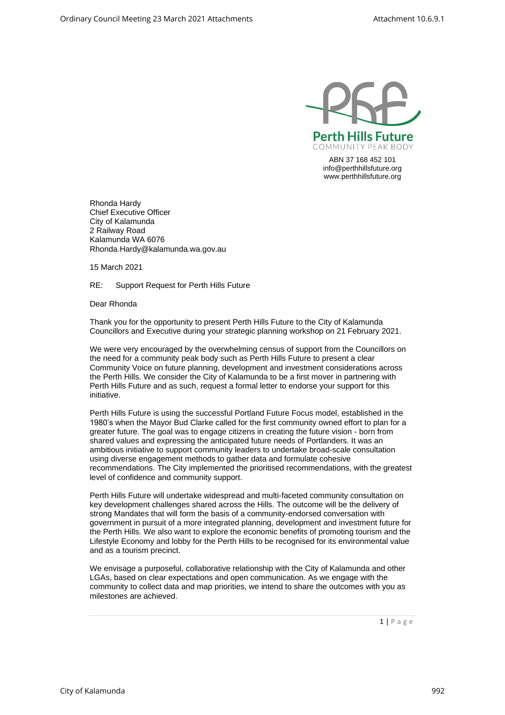

ABN 37 168 452 101 [info@perthhillsfuture.org](mailto:info@perthhillsfuture.org) [www.perthhillsfuture.org](http://www.perthhillsfuture.org/)

Rhonda Hardy Chief Executive Officer City of Kalamunda 2 Railway Road Kalamunda WA 6076 [Rhonda.Hardy@kalamunda.wa.gov.au](mailto:Rhonda.Hardy@kalamunda.wa.gov.au)

15 March 2021

RE: Support Request for Perth Hills Future

Dear Rhonda

Thank you for the opportunity to present Perth Hills Future to the City of Kalamunda Councillors and Executive during your strategic planning workshop on 21 February 2021.

We were very encouraged by the overwhelming census of support from the Councillors on the need for a community peak body such as Perth Hills Future to present a clear Community Voice on future planning, development and investment considerations across the Perth Hills. We consider the City of Kalamunda to be a first mover in partnering with Perth Hills Future and as such, request a formal letter to endorse your support for this initiative.

Perth Hills Future is using the successful Portland Future Focus model, established in the 1980's when the Mayor Bud Clarke called for the first community owned effort to plan for a greater future. The goal was to engage citizens in creating the future vision - born from shared values and expressing the anticipated future needs of Portlanders. It was an ambitious initiative to support community leaders to undertake broad-scale consultation using diverse engagement methods to gather data and formulate cohesive recommendations. The City implemented the prioritised recommendations, with the greatest level of confidence and community support.

Perth Hills Future will undertake widespread and multi-faceted community consultation on key development challenges shared across the Hills. The outcome will be the delivery of strong Mandates that will form the basis of a community-endorsed conversation with government in pursuit of a more integrated planning, development and investment future for the Perth Hills. We also want to explore the economic benefits of promoting tourism and the Lifestyle Economy and lobby for the Perth Hills to be recognised for its environmental value and as a tourism precinct.

We envisage a purposeful, collaborative relationship with the City of Kalamunda and other LGAs, based on clear expectations and open communication. As we engage with the community to collect data and map priorities, we intend to share the outcomes with you as milestones are achieved.

 $1 | P$  a g e